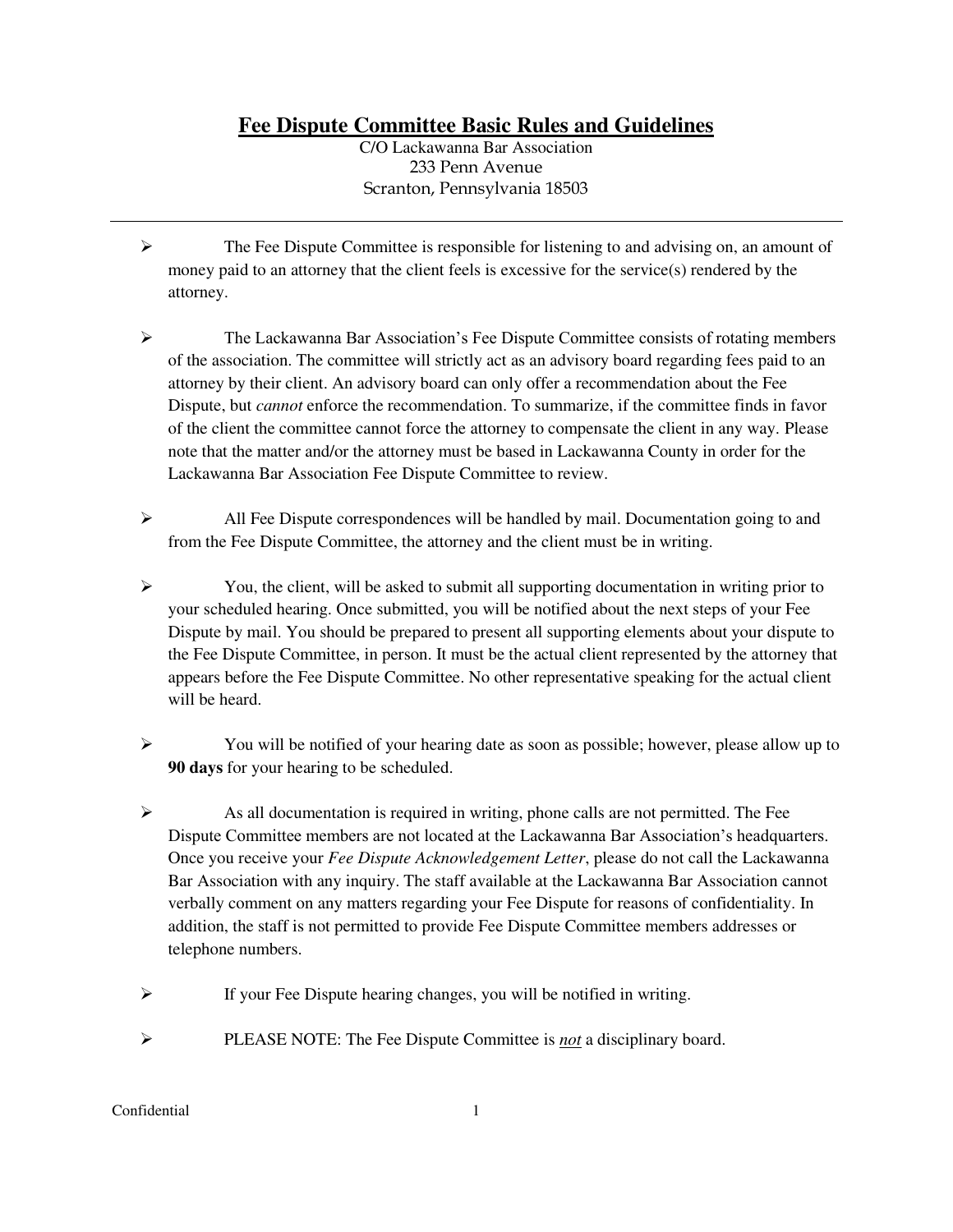**Fee Dispute Committee Basic Rules and Guidelines** 

C/O Lackawanna Bar Association 233 Penn Avenue Scranton, Pennsylvania 18503

- ➢ The Fee Dispute Committee is responsible for listening to and advising on, an amount of money paid to an attorney that the client feels is excessive for the service(s) rendered by the attorney.
- ➢ The Lackawanna Bar Association's Fee Dispute Committee consists of rotating members of the association. The committee will strictly act as an advisory board regarding fees paid to an attorney by their client. An advisory board can only offer a recommendation about the Fee Dispute, but *cannot* enforce the recommendation. To summarize, if the committee finds in favor of the client the committee cannot force the attorney to compensate the client in any way. Please note that the matter and/or the attorney must be based in Lackawanna County in order for the Lackawanna Bar Association Fee Dispute Committee to review.
- ➢ All Fee Dispute correspondences will be handled by mail. Documentation going to and from the Fee Dispute Committee, the attorney and the client must be in writing.
- $\triangleright$  You, the client, will be asked to submit all supporting documentation in writing prior to your scheduled hearing. Once submitted, you will be notified about the next steps of your Fee Dispute by mail. You should be prepared to present all supporting elements about your dispute to the Fee Dispute Committee, in person. It must be the actual client represented by the attorney that appears before the Fee Dispute Committee. No other representative speaking for the actual client will be heard.
- ➢ You will be notified of your hearing date as soon as possible; however, please allow up to **90 days** for your hearing to be scheduled.
- ➢ As all documentation is required in writing, phone calls are not permitted. The Fee Dispute Committee members are not located at the Lackawanna Bar Association's headquarters. Once you receive your *Fee Dispute Acknowledgement Letter*, please do not call the Lackawanna Bar Association with any inquiry. The staff available at the Lackawanna Bar Association cannot verbally comment on any matters regarding your Fee Dispute for reasons of confidentiality. In addition, the staff is not permitted to provide Fee Dispute Committee members addresses or telephone numbers.
- ➢ If your Fee Dispute hearing changes, you will be notified in writing.
- ➢ PLEASE NOTE: The Fee Dispute Committee is *not* a disciplinary board.

#### Confidential 1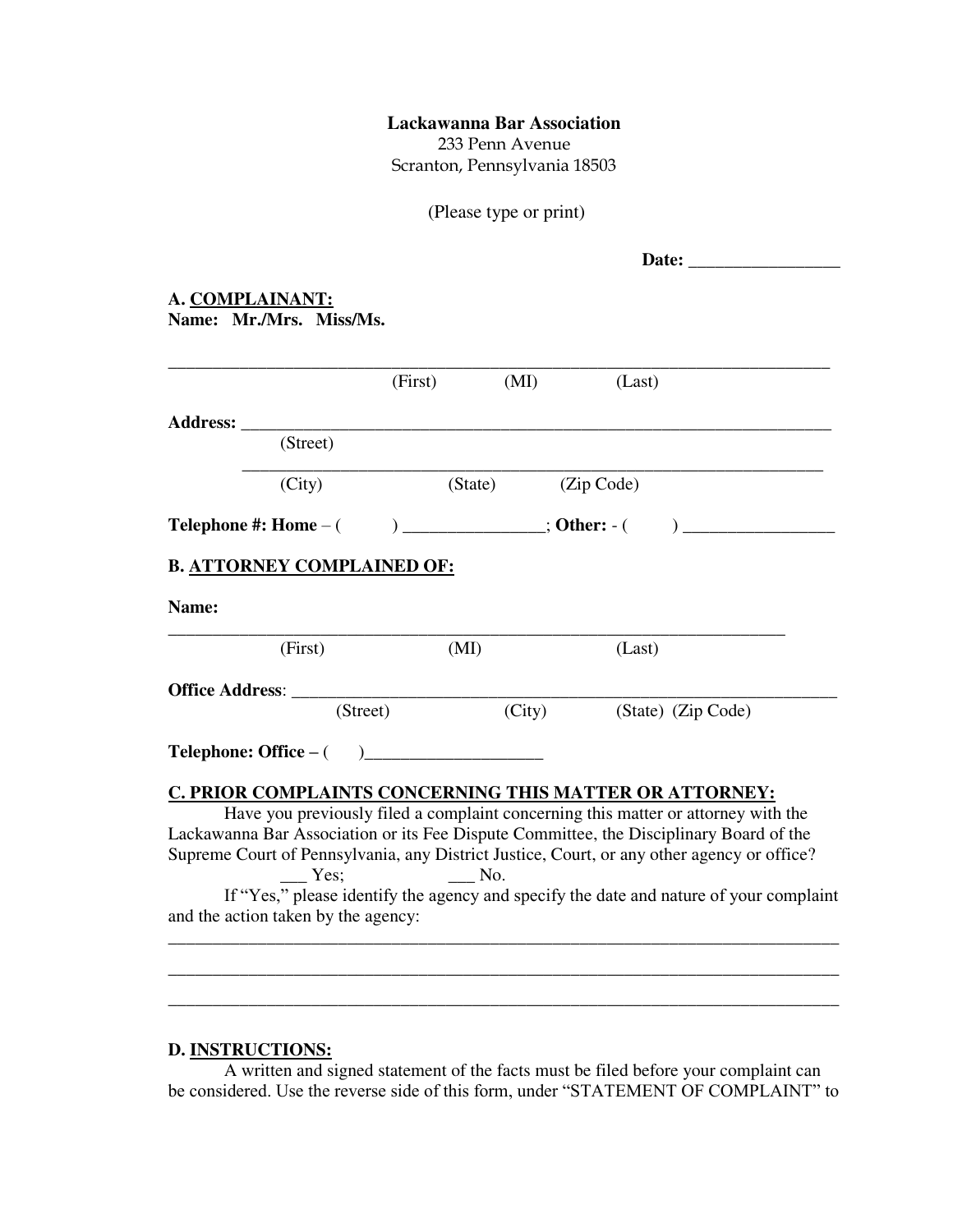### **Lackawanna Bar Association**

233 Penn Avenue Scranton, Pennsylvania 18503

(Please type or print)

| ρ٠. |
|-----|
|-----|

#### **A. COMPLAINANT: Name: Mr./Mrs. Miss/Ms.**

|       |                                     | (First)                      | (MI)               | (Last)                                                                                                                                                                               |  |
|-------|-------------------------------------|------------------------------|--------------------|--------------------------------------------------------------------------------------------------------------------------------------------------------------------------------------|--|
|       |                                     |                              |                    |                                                                                                                                                                                      |  |
|       | (Street)                            |                              |                    |                                                                                                                                                                                      |  |
|       | (City)                              |                              | (State) (Zip Code) |                                                                                                                                                                                      |  |
|       |                                     |                              |                    |                                                                                                                                                                                      |  |
|       | <b>B. ATTORNEY COMPLAINED OF:</b>   |                              |                    |                                                                                                                                                                                      |  |
| Name: |                                     |                              |                    |                                                                                                                                                                                      |  |
|       | (First)                             | (MI)                         |                    | (Last)                                                                                                                                                                               |  |
|       |                                     |                              |                    |                                                                                                                                                                                      |  |
|       |                                     | (Street)                     |                    | (City) (State) (Zip Code)                                                                                                                                                            |  |
|       |                                     |                              |                    |                                                                                                                                                                                      |  |
|       |                                     |                              |                    | C. PRIOR COMPLAINTS CONCERNING THIS MATTER OR ATTORNEY:                                                                                                                              |  |
|       |                                     |                              |                    | Have you previously filed a complaint concerning this matter or attorney with the                                                                                                    |  |
|       |                                     |                              |                    | Lackawanna Bar Association or its Fee Dispute Committee, the Disciplinary Board of the<br>Supreme Court of Pennsylvania, any District Justice, Court, or any other agency or office? |  |
|       | $-$ Yes:                            | $\overline{\phantom{a}}$ No. |                    |                                                                                                                                                                                      |  |
|       |                                     |                              |                    | If "Yes," please identify the agency and specify the date and nature of your complaint                                                                                               |  |
|       | and the action taken by the agency: |                              |                    |                                                                                                                                                                                      |  |
|       |                                     |                              |                    |                                                                                                                                                                                      |  |

# **D. INSTRUCTIONS:**

 A written and signed statement of the facts must be filed before your complaint can be considered. Use the reverse side of this form, under "STATEMENT OF COMPLAINT" to

\_\_\_\_\_\_\_\_\_\_\_\_\_\_\_\_\_\_\_\_\_\_\_\_\_\_\_\_\_\_\_\_\_\_\_\_\_\_\_\_\_\_\_\_\_\_\_\_\_\_\_\_\_\_\_\_\_\_\_\_\_\_\_\_\_\_\_\_\_\_\_\_\_\_\_ \_\_\_\_\_\_\_\_\_\_\_\_\_\_\_\_\_\_\_\_\_\_\_\_\_\_\_\_\_\_\_\_\_\_\_\_\_\_\_\_\_\_\_\_\_\_\_\_\_\_\_\_\_\_\_\_\_\_\_\_\_\_\_\_\_\_\_\_\_\_\_\_\_\_\_